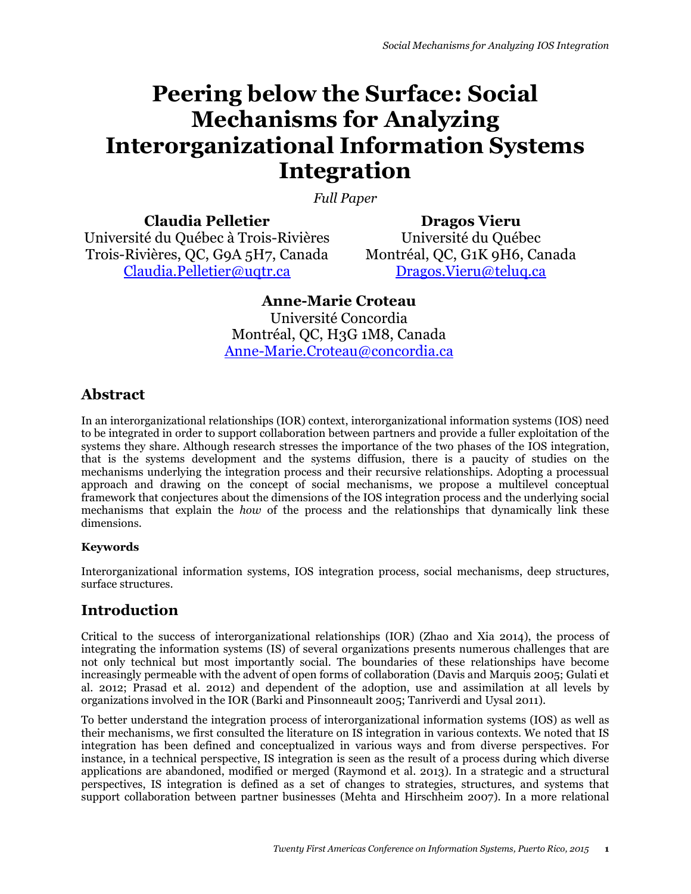# **Peering below the Surface: Social Mechanisms for Analyzing Interorganizational Information Systems Integration**

*Full Paper* 

**Claudia Pelletier** Université du Québec à Trois-Rivières Trois-Rivières, QC, G9A 5H7, Canada Claudia.Pelletier@uqtr.ca

**Dragos Vieru** Université du Québec Montréal, QC, G1K 9H6, Canada Dragos.Vieru@teluq.ca

## **Anne-Marie Croteau**

Université Concordia Montréal, QC, H3G 1M8, Canada Anne-Marie.Croteau@concordia.ca

## **Abstract**

In an interorganizational relationships (IOR) context, interorganizational information systems (IOS) need to be integrated in order to support collaboration between partners and provide a fuller exploitation of the systems they share. Although research stresses the importance of the two phases of the IOS integration, that is the systems development and the systems diffusion, there is a paucity of studies on the mechanisms underlying the integration process and their recursive relationships. Adopting a processual approach and drawing on the concept of social mechanisms, we propose a multilevel conceptual framework that conjectures about the dimensions of the IOS integration process and the underlying social mechanisms that explain the *how* of the process and the relationships that dynamically link these dimensions.

## **Keywords**

Interorganizational information systems, IOS integration process, social mechanisms, deep structures, surface structures.

## **Introduction**

Critical to the success of interorganizational relationships (IOR) (Zhao and Xia 2014), the process of integrating the information systems (IS) of several organizations presents numerous challenges that are not only technical but most importantly social. The boundaries of these relationships have become increasingly permeable with the advent of open forms of collaboration (Davis and Marquis 2005; Gulati et al. 2012; Prasad et al. 2012) and dependent of the adoption, use and assimilation at all levels by organizations involved in the IOR (Barki and Pinsonneault 2005; Tanriverdi and Uysal 2011).

To better understand the integration process of interorganizational information systems (IOS) as well as their mechanisms, we first consulted the literature on IS integration in various contexts. We noted that IS integration has been defined and conceptualized in various ways and from diverse perspectives. For instance, in a technical perspective, IS integration is seen as the result of a process during which diverse applications are abandoned, modified or merged (Raymond et al. 2013). In a strategic and a structural perspectives, IS integration is defined as a set of changes to strategies, structures, and systems that support collaboration between partner businesses (Mehta and Hirschheim 2007). In a more relational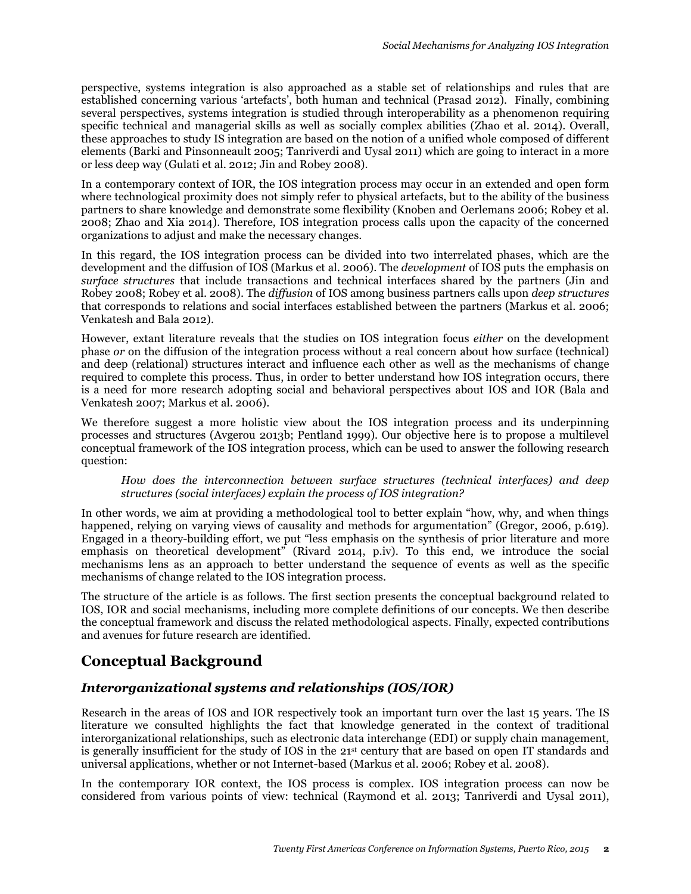perspective, systems integration is also approached as a stable set of relationships and rules that are established concerning various 'artefacts', both human and technical (Prasad 2012). Finally, combining several perspectives, systems integration is studied through interoperability as a phenomenon requiring specific technical and managerial skills as well as socially complex abilities (Zhao et al. 2014). Overall, these approaches to study IS integration are based on the notion of a unified whole composed of different elements (Barki and Pinsonneault 2005; Tanriverdi and Uysal 2011) which are going to interact in a more or less deep way (Gulati et al. 2012; Jin and Robey 2008).

In a contemporary context of IOR, the IOS integration process may occur in an extended and open form where technological proximity does not simply refer to physical artefacts, but to the ability of the business partners to share knowledge and demonstrate some flexibility (Knoben and Oerlemans 2006; Robey et al. 2008; Zhao and Xia 2014). Therefore, IOS integration process calls upon the capacity of the concerned organizations to adjust and make the necessary changes.

In this regard, the IOS integration process can be divided into two interrelated phases, which are the development and the diffusion of IOS (Markus et al. 2006). The *development* of IOS puts the emphasis on *surface structures* that include transactions and technical interfaces shared by the partners (Jin and Robey 2008; Robey et al. 2008). The *diffusion* of IOS among business partners calls upon *deep structures* that corresponds to relations and social interfaces established between the partners (Markus et al. 2006; Venkatesh and Bala 2012).

However, extant literature reveals that the studies on IOS integration focus *either* on the development phase *or* on the diffusion of the integration process without a real concern about how surface (technical) and deep (relational) structures interact and influence each other as well as the mechanisms of change required to complete this process. Thus, in order to better understand how IOS integration occurs, there is a need for more research adopting social and behavioral perspectives about IOS and IOR (Bala and Venkatesh 2007; Markus et al. 2006).

We therefore suggest a more holistic view about the IOS integration process and its underpinning processes and structures (Avgerou 2013b; Pentland 1999). Our objective here is to propose a multilevel conceptual framework of the IOS integration process, which can be used to answer the following research question:

#### *How does the interconnection between surface structures (technical interfaces) and deep structures (social interfaces) explain the process of IOS integration?*

In other words, we aim at providing a methodological tool to better explain "how, why, and when things happened, relying on varying views of causality and methods for argumentation" (Gregor, 2006, p.619). Engaged in a theory-building effort, we put "less emphasis on the synthesis of prior literature and more emphasis on theoretical development" (Rivard 2014, p.iv). To this end, we introduce the social mechanisms lens as an approach to better understand the sequence of events as well as the specific mechanisms of change related to the IOS integration process.

The structure of the article is as follows. The first section presents the conceptual background related to IOS, IOR and social mechanisms, including more complete definitions of our concepts. We then describe the conceptual framework and discuss the related methodological aspects. Finally, expected contributions and avenues for future research are identified.

# **Conceptual Background**

## *Interorganizational systems and relationships (IOS/IOR)*

Research in the areas of IOS and IOR respectively took an important turn over the last 15 years. The IS literature we consulted highlights the fact that knowledge generated in the context of traditional interorganizational relationships, such as electronic data interchange (EDI) or supply chain management, is generally insufficient for the study of IOS in the 21st century that are based on open IT standards and universal applications, whether or not Internet-based (Markus et al. 2006; Robey et al. 2008).

In the contemporary IOR context, the IOS process is complex. IOS integration process can now be considered from various points of view: technical (Raymond et al. 2013; Tanriverdi and Uysal 2011),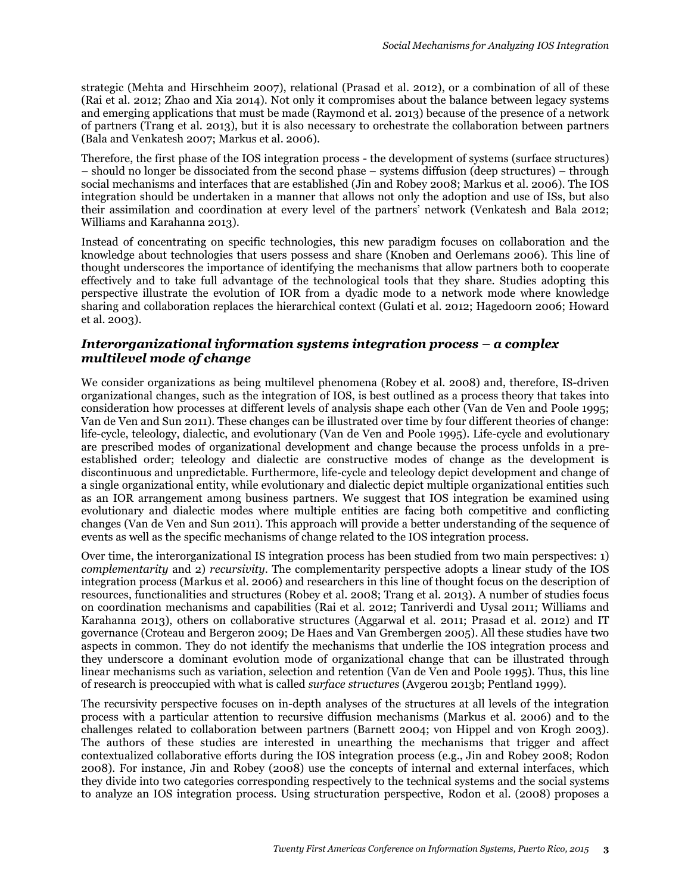strategic (Mehta and Hirschheim 2007), relational (Prasad et al. 2012), or a combination of all of these (Rai et al. 2012; Zhao and Xia 2014). Not only it compromises about the balance between legacy systems and emerging applications that must be made (Raymond et al. 2013) because of the presence of a network of partners (Trang et al. 2013), but it is also necessary to orchestrate the collaboration between partners (Bala and Venkatesh 2007; Markus et al. 2006).

Therefore, the first phase of the IOS integration process - the development of systems (surface structures) – should no longer be dissociated from the second phase – systems diffusion (deep structures) – through social mechanisms and interfaces that are established (Jin and Robey 2008; Markus et al. 2006). The IOS integration should be undertaken in a manner that allows not only the adoption and use of ISs, but also their assimilation and coordination at every level of the partners' network (Venkatesh and Bala 2012; Williams and Karahanna 2013).

Instead of concentrating on specific technologies, this new paradigm focuses on collaboration and the knowledge about technologies that users possess and share (Knoben and Oerlemans 2006). This line of thought underscores the importance of identifying the mechanisms that allow partners both to cooperate effectively and to take full advantage of the technological tools that they share. Studies adopting this perspective illustrate the evolution of IOR from a dyadic mode to a network mode where knowledge sharing and collaboration replaces the hierarchical context (Gulati et al. 2012; Hagedoorn 2006; Howard et al. 2003).

#### *Interorganizational information systems integration process – a complex multilevel mode of change*

We consider organizations as being multilevel phenomena (Robey et al. 2008) and, therefore, IS-driven organizational changes, such as the integration of IOS, is best outlined as a process theory that takes into consideration how processes at different levels of analysis shape each other (Van de Ven and Poole 1995; Van de Ven and Sun 2011). These changes can be illustrated over time by four different theories of change: life-cycle, teleology, dialectic, and evolutionary (Van de Ven and Poole 1995). Life-cycle and evolutionary are prescribed modes of organizational development and change because the process unfolds in a preestablished order; teleology and dialectic are constructive modes of change as the development is discontinuous and unpredictable. Furthermore, life-cycle and teleology depict development and change of a single organizational entity, while evolutionary and dialectic depict multiple organizational entities such as an IOR arrangement among business partners. We suggest that IOS integration be examined using evolutionary and dialectic modes where multiple entities are facing both competitive and conflicting changes (Van de Ven and Sun 2011). This approach will provide a better understanding of the sequence of events as well as the specific mechanisms of change related to the IOS integration process.

Over time, the interorganizational IS integration process has been studied from two main perspectives: 1) *complementarity* and 2) *recursivity*. The complementarity perspective adopts a linear study of the IOS integration process (Markus et al. 2006) and researchers in this line of thought focus on the description of resources, functionalities and structures (Robey et al. 2008; Trang et al. 2013). A number of studies focus on coordination mechanisms and capabilities (Rai et al. 2012; Tanriverdi and Uysal 2011; Williams and Karahanna 2013), others on collaborative structures (Aggarwal et al. 2011; Prasad et al. 2012) and IT governance (Croteau and Bergeron 2009; De Haes and Van Grembergen 2005). All these studies have two aspects in common. They do not identify the mechanisms that underlie the IOS integration process and they underscore a dominant evolution mode of organizational change that can be illustrated through linear mechanisms such as variation, selection and retention (Van de Ven and Poole 1995). Thus, this line of research is preoccupied with what is called *surface structures* (Avgerou 2013b; Pentland 1999).

The recursivity perspective focuses on in-depth analyses of the structures at all levels of the integration process with a particular attention to recursive diffusion mechanisms (Markus et al. 2006) and to the challenges related to collaboration between partners (Barnett 2004; von Hippel and von Krogh 2003). The authors of these studies are interested in unearthing the mechanisms that trigger and affect contextualized collaborative efforts during the IOS integration process (e.g., Jin and Robey 2008; Rodon 2008). For instance, Jin and Robey (2008) use the concepts of internal and external interfaces, which they divide into two categories corresponding respectively to the technical systems and the social systems to analyze an IOS integration process. Using structuration perspective, Rodon et al. (2008) proposes a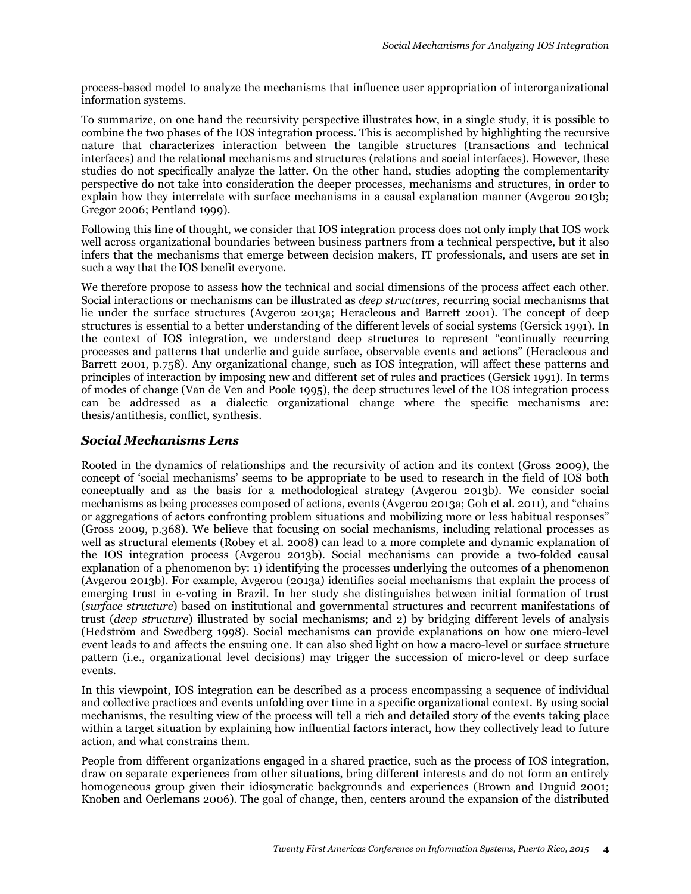process-based model to analyze the mechanisms that influence user appropriation of interorganizational information systems.

To summarize, on one hand the recursivity perspective illustrates how, in a single study, it is possible to combine the two phases of the IOS integration process. This is accomplished by highlighting the recursive nature that characterizes interaction between the tangible structures (transactions and technical interfaces) and the relational mechanisms and structures (relations and social interfaces). However, these studies do not specifically analyze the latter. On the other hand, studies adopting the complementarity perspective do not take into consideration the deeper processes, mechanisms and structures, in order to explain how they interrelate with surface mechanisms in a causal explanation manner (Avgerou 2013b; Gregor 2006; Pentland 1999).

Following this line of thought, we consider that IOS integration process does not only imply that IOS work well across organizational boundaries between business partners from a technical perspective, but it also infers that the mechanisms that emerge between decision makers, IT professionals, and users are set in such a way that the IOS benefit everyone.

We therefore propose to assess how the technical and social dimensions of the process affect each other. Social interactions or mechanisms can be illustrated as *deep structures*, recurring social mechanisms that lie under the surface structures (Avgerou 2013a; Heracleous and Barrett 2001). The concept of deep structures is essential to a better understanding of the different levels of social systems (Gersick 1991). In the context of IOS integration, we understand deep structures to represent "continually recurring processes and patterns that underlie and guide surface, observable events and actions" (Heracleous and Barrett 2001, p.758). Any organizational change, such as IOS integration, will affect these patterns and principles of interaction by imposing new and different set of rules and practices (Gersick 1991). In terms of modes of change (Van de Ven and Poole 1995), the deep structures level of the IOS integration process can be addressed as a dialectic organizational change where the specific mechanisms are: thesis/antithesis, conflict, synthesis.

#### *Social Mechanisms Lens*

Rooted in the dynamics of relationships and the recursivity of action and its context (Gross 2009), the concept of 'social mechanisms' seems to be appropriate to be used to research in the field of IOS both conceptually and as the basis for a methodological strategy (Avgerou 2013b). We consider social mechanisms as being processes composed of actions, events (Avgerou 2013a; Goh et al. 2011), and "chains or aggregations of actors confronting problem situations and mobilizing more or less habitual responses" (Gross 2009, p.368). We believe that focusing on social mechanisms, including relational processes as well as structural elements (Robey et al. 2008) can lead to a more complete and dynamic explanation of the IOS integration process (Avgerou 2013b). Social mechanisms can provide a two-folded causal explanation of a phenomenon by: 1) identifying the processes underlying the outcomes of a phenomenon (Avgerou 2013b). For example, Avgerou (2013a) identifies social mechanisms that explain the process of emerging trust in e-voting in Brazil. In her study she distinguishes between initial formation of trust (*surface structure*) based on institutional and governmental structures and recurrent manifestations of trust (*deep structure*) illustrated by social mechanisms; and 2) by bridging different levels of analysis (Hedström and Swedberg 1998). Social mechanisms can provide explanations on how one micro-level event leads to and affects the ensuing one. It can also shed light on how a macro-level or surface structure pattern (i.e., organizational level decisions) may trigger the succession of micro-level or deep surface events.

In this viewpoint, IOS integration can be described as a process encompassing a sequence of individual and collective practices and events unfolding over time in a specific organizational context. By using social mechanisms, the resulting view of the process will tell a rich and detailed story of the events taking place within a target situation by explaining how influential factors interact, how they collectively lead to future action, and what constrains them.

People from different organizations engaged in a shared practice, such as the process of IOS integration, draw on separate experiences from other situations, bring different interests and do not form an entirely homogeneous group given their idiosyncratic backgrounds and experiences (Brown and Duguid 2001; Knoben and Oerlemans 2006). The goal of change, then, centers around the expansion of the distributed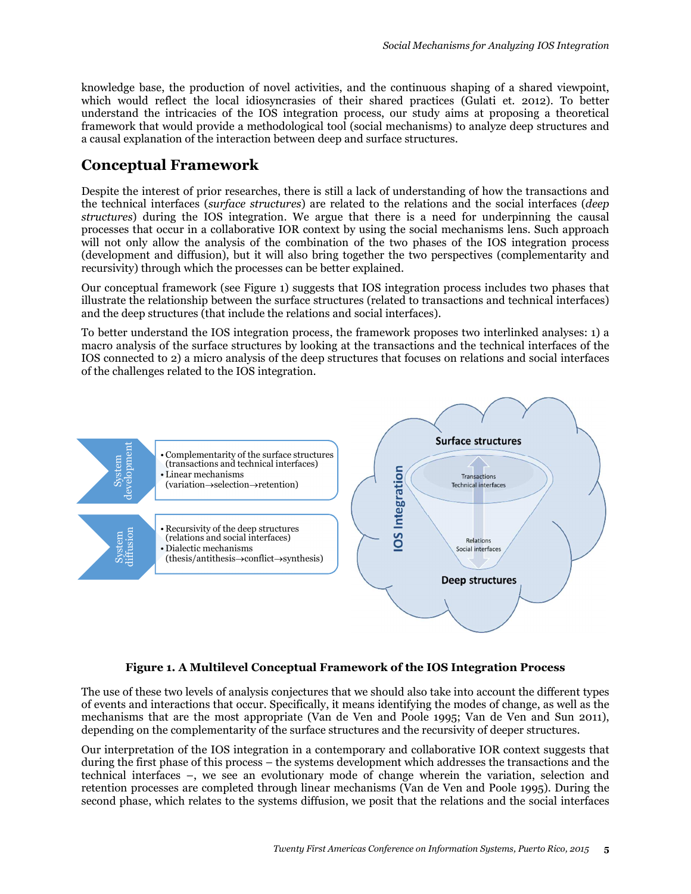knowledge base, the production of novel activities, and the continuous shaping of a shared viewpoint, which would reflect the local idiosyncrasies of their shared practices (Gulati et. 2012). To better understand the intricacies of the IOS integration process, our study aims at proposing a theoretical framework that would provide a methodological tool (social mechanisms) to analyze deep structures and a causal explanation of the interaction between deep and surface structures.

# **Conceptual Framework**

Despite the interest of prior researches, there is still a lack of understanding of how the transactions and the technical interfaces (*surface structures*) are related to the relations and the social interfaces (*deep structures*) during the IOS integration. We argue that there is a need for underpinning the causal processes that occur in a collaborative IOR context by using the social mechanisms lens. Such approach will not only allow the analysis of the combination of the two phases of the IOS integration process (development and diffusion), but it will also bring together the two perspectives (complementarity and recursivity) through which the processes can be better explained.

Our conceptual framework (see Figure 1) suggests that IOS integration process includes two phases that illustrate the relationship between the surface structures (related to transactions and technical interfaces) and the deep structures (that include the relations and social interfaces).

To better understand the IOS integration process, the framework proposes two interlinked analyses: 1) a macro analysis of the surface structures by looking at the transactions and the technical interfaces of the IOS connected to 2) a micro analysis of the deep structures that focuses on relations and social interfaces of the challenges related to the IOS integration.



#### **Figure 1. A Multilevel Conceptual Framework of the IOS Integration Process**

The use of these two levels of analysis conjectures that we should also take into account the different types of events and interactions that occur. Specifically, it means identifying the modes of change, as well as the mechanisms that are the most appropriate (Van de Ven and Poole 1995; Van de Ven and Sun 2011), depending on the complementarity of the surface structures and the recursivity of deeper structures.

Our interpretation of the IOS integration in a contemporary and collaborative IOR context suggests that during the first phase of this process – the systems development which addresses the transactions and the technical interfaces –, we see an evolutionary mode of change wherein the variation, selection and retention processes are completed through linear mechanisms (Van de Ven and Poole 1995). During the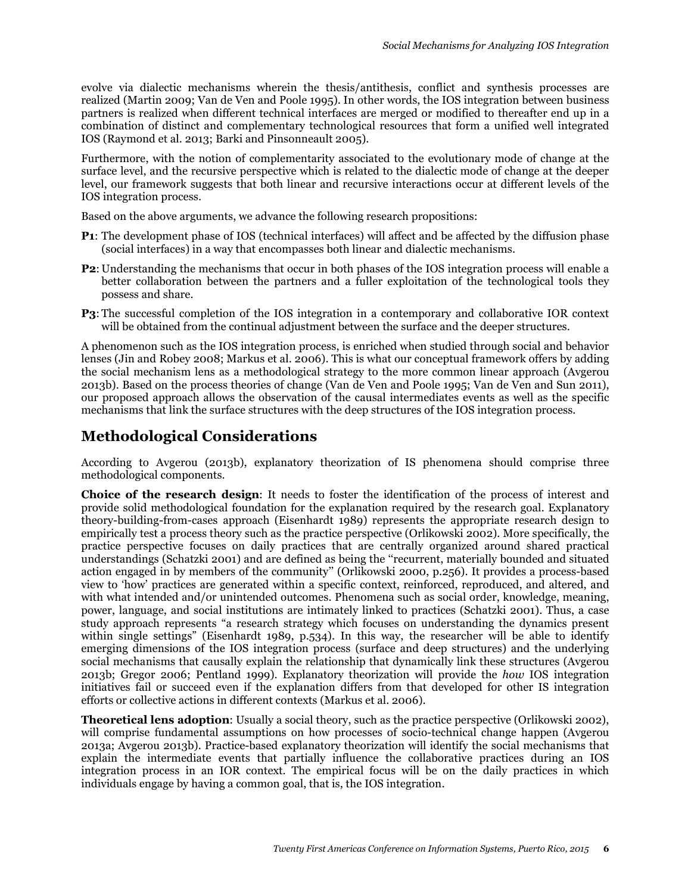evolve via dialectic mechanisms wherein the thesis/antithesis, conflict and synthesis processes are realized (Martin 2009; Van de Ven and Poole 1995). In other words, the IOS integration between business partners is realized when different technical interfaces are merged or modified to thereafter end up in a combination of distinct and complementary technological resources that form a unified well integrated IOS (Raymond et al. 2013; Barki and Pinsonneault 2005).

Furthermore, with the notion of complementarity associated to the evolutionary mode of change at the surface level, and the recursive perspective which is related to the dialectic mode of change at the deeper level, our framework suggests that both linear and recursive interactions occur at different levels of the IOS integration process.

Based on the above arguments, we advance the following research propositions:

- **P1**: The development phase of IOS (technical interfaces) will affect and be affected by the diffusion phase (social interfaces) in a way that encompasses both linear and dialectic mechanisms.
- **P2**: Understanding the mechanisms that occur in both phases of the IOS integration process will enable a better collaboration between the partners and a fuller exploitation of the technological tools they possess and share.
- **P3**: The successful completion of the IOS integration in a contemporary and collaborative IOR context will be obtained from the continual adjustment between the surface and the deeper structures.

A phenomenon such as the IOS integration process, is enriched when studied through social and behavior lenses (Jin and Robey 2008; Markus et al. 2006). This is what our conceptual framework offers by adding the social mechanism lens as a methodological strategy to the more common linear approach (Avgerou 2013b). Based on the process theories of change (Van de Ven and Poole 1995; Van de Ven and Sun 2011), our proposed approach allows the observation of the causal intermediates events as well as the specific mechanisms that link the surface structures with the deep structures of the IOS integration process.

## **Methodological Considerations**

According to Avgerou (2013b), explanatory theorization of IS phenomena should comprise three methodological components.

**Choice of the research design**: It needs to foster the identification of the process of interest and provide solid methodological foundation for the explanation required by the research goal. Explanatory theory-building-from-cases approach (Eisenhardt 1989) represents the appropriate research design to empirically test a process theory such as the practice perspective (Orlikowski 2002). More specifically, the practice perspective focuses on daily practices that are centrally organized around shared practical understandings (Schatzki 2001) and are defined as being the ''recurrent, materially bounded and situated action engaged in by members of the community'' (Orlikowski 2000, p.256). It provides a process-based view to 'how' practices are generated within a specific context, reinforced, reproduced, and altered, and with what intended and/or unintended outcomes. Phenomena such as social order, knowledge, meaning, power, language, and social institutions are intimately linked to practices (Schatzki 2001). Thus, a case study approach represents "a research strategy which focuses on understanding the dynamics present within single settings" (Eisenhardt 1989, p.534). In this way, the researcher will be able to identify emerging dimensions of the IOS integration process (surface and deep structures) and the underlying social mechanisms that causally explain the relationship that dynamically link these structures (Avgerou 2013b; Gregor 2006; Pentland 1999). Explanatory theorization will provide the *how* IOS integration initiatives fail or succeed even if the explanation differs from that developed for other IS integration efforts or collective actions in different contexts (Markus et al. 2006).

**Theoretical lens adoption**: Usually a social theory, such as the practice perspective (Orlikowski 2002), will comprise fundamental assumptions on how processes of socio-technical change happen (Avgerou 2013a; Avgerou 2013b). Practice-based explanatory theorization will identify the social mechanisms that explain the intermediate events that partially influence the collaborative practices during an IOS integration process in an IOR context. The empirical focus will be on the daily practices in which individuals engage by having a common goal, that is, the IOS integration.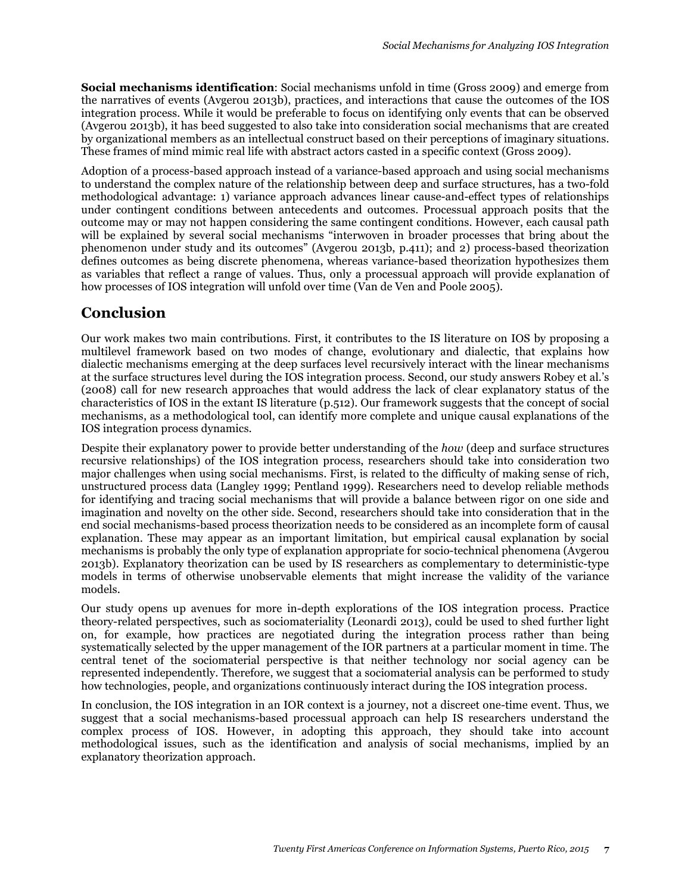**Social mechanisms identification**: Social mechanisms unfold in time (Gross 2009) and emerge from the narratives of events (Avgerou 2013b), practices, and interactions that cause the outcomes of the IOS integration process. While it would be preferable to focus on identifying only events that can be observed (Avgerou 2013b), it has beed suggested to also take into consideration social mechanisms that are created by organizational members as an intellectual construct based on their perceptions of imaginary situations. These frames of mind mimic real life with abstract actors casted in a specific context (Gross 2009).

Adoption of a process-based approach instead of a variance-based approach and using social mechanisms to understand the complex nature of the relationship between deep and surface structures, has a two-fold methodological advantage: 1) variance approach advances linear cause-and-effect types of relationships under contingent conditions between antecedents and outcomes. Processual approach posits that the outcome may or may not happen considering the same contingent conditions. However, each causal path will be explained by several social mechanisms "interwoven in broader processes that bring about the phenomenon under study and its outcomes" (Avgerou 2013b, p.411); and 2) process-based theorization defines outcomes as being discrete phenomena, whereas variance-based theorization hypothesizes them as variables that reflect a range of values. Thus, only a processual approach will provide explanation of how processes of IOS integration will unfold over time (Van de Ven and Poole 2005).

# **Conclusion**

Our work makes two main contributions. First, it contributes to the IS literature on IOS by proposing a multilevel framework based on two modes of change, evolutionary and dialectic, that explains how dialectic mechanisms emerging at the deep surfaces level recursively interact with the linear mechanisms at the surface structures level during the IOS integration process. Second, our study answers Robey et al.'s (2008) call for new research approaches that would address the lack of clear explanatory status of the characteristics of IOS in the extant IS literature (p.512). Our framework suggests that the concept of social mechanisms, as a methodological tool, can identify more complete and unique causal explanations of the IOS integration process dynamics.

Despite their explanatory power to provide better understanding of the *how* (deep and surface structures recursive relationships) of the IOS integration process, researchers should take into consideration two major challenges when using social mechanisms. First, is related to the difficulty of making sense of rich, unstructured process data (Langley 1999; Pentland 1999). Researchers need to develop reliable methods for identifying and tracing social mechanisms that will provide a balance between rigor on one side and imagination and novelty on the other side. Second, researchers should take into consideration that in the end social mechanisms-based process theorization needs to be considered as an incomplete form of causal explanation. These may appear as an important limitation, but empirical causal explanation by social mechanisms is probably the only type of explanation appropriate for socio-technical phenomena (Avgerou 2013b). Explanatory theorization can be used by IS researchers as complementary to deterministic-type models in terms of otherwise unobservable elements that might increase the validity of the variance models.

Our study opens up avenues for more in-depth explorations of the IOS integration process. Practice theory-related perspectives, such as sociomateriality (Leonardi 2013), could be used to shed further light on, for example, how practices are negotiated during the integration process rather than being systematically selected by the upper management of the IOR partners at a particular moment in time. The central tenet of the sociomaterial perspective is that neither technology nor social agency can be represented independently. Therefore, we suggest that a sociomaterial analysis can be performed to study how technologies, people, and organizations continuously interact during the IOS integration process.

In conclusion, the IOS integration in an IOR context is a journey, not a discreet one-time event. Thus, we suggest that a social mechanisms-based processual approach can help IS researchers understand the complex process of IOS. However, in adopting this approach, they should take into account methodological issues, such as the identification and analysis of social mechanisms, implied by an explanatory theorization approach.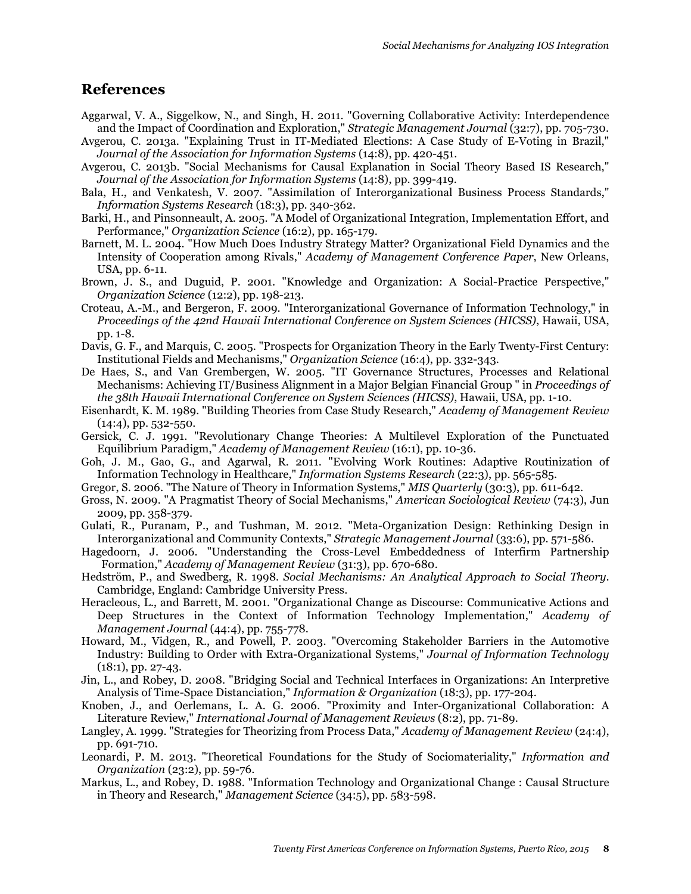## **References**

- Aggarwal, V. A., Siggelkow, N., and Singh, H. 2011. "Governing Collaborative Activity: Interdependence and the Impact of Coordination and Exploration," *Strategic Management Journal* (32:7), pp. 705-730.
- Avgerou, C. 2013a. "Explaining Trust in IT-Mediated Elections: A Case Study of E-Voting in Brazil," *Journal of the Association for Information Systems* (14:8), pp. 420-451.
- Avgerou, C. 2013b. "Social Mechanisms for Causal Explanation in Social Theory Based IS Research," *Journal of the Association for Information Systems* (14:8), pp. 399-419.
- Bala, H., and Venkatesh, V. 2007. "Assimilation of Interorganizational Business Process Standards," *Information Systems Research* (18:3), pp. 340-362.
- Barki, H., and Pinsonneault, A. 2005. "A Model of Organizational Integration, Implementation Effort, and Performance," *Organization Science* (16:2), pp. 165-179.
- Barnett, M. L. 2004. "How Much Does Industry Strategy Matter? Organizational Field Dynamics and the Intensity of Cooperation among Rivals," *Academy of Management Conference Paper*, New Orleans, USA, pp. 6-11.
- Brown, J. S., and Duguid, P. 2001. "Knowledge and Organization: A Social-Practice Perspective," *Organization Science* (12:2), pp. 198-213.
- Croteau, A.-M., and Bergeron, F. 2009. "Interorganizational Governance of Information Technology," in *Proceedings of the 42nd Hawaii International Conference on System Sciences (HICSS)*, Hawaii, USA, pp. 1-8.
- Davis, G. F., and Marquis, C. 2005. "Prospects for Organization Theory in the Early Twenty-First Century: Institutional Fields and Mechanisms," *Organization Science* (16:4), pp. 332-343.
- De Haes, S., and Van Grembergen, W. 2005. "IT Governance Structures, Processes and Relational Mechanisms: Achieving IT/Business Alignment in a Major Belgian Financial Group " in *Proceedings of the 38th Hawaii International Conference on System Sciences (HICSS)*, Hawaii, USA, pp. 1-10.
- Eisenhardt, K. M. 1989. "Building Theories from Case Study Research," *Academy of Management Review*  $(14:4)$ , pp. 532-550.
- Gersick, C. J. 1991. "Revolutionary Change Theories: A Multilevel Exploration of the Punctuated Equilibrium Paradigm," *Academy of Management Review* (16:1), pp. 10-36.
- Goh, J. M., Gao, G., and Agarwal, R. 2011. "Evolving Work Routines: Adaptive Routinization of Information Technology in Healthcare," *Information Systems Research* (22:3), pp. 565-585.
- Gregor, S. 2006. "The Nature of Theory in Information Systems," *MIS Quarterly* (30:3), pp. 611-642.
- Gross, N. 2009. "A Pragmatist Theory of Social Mechanisms," *American Sociological Review* (74:3), Jun 2009, pp. 358-379.
- Gulati, R., Puranam, P., and Tushman, M. 2012. "Meta-Organization Design: Rethinking Design in Interorganizational and Community Contexts," *Strategic Management Journal* (33:6), pp. 571-586.
- Hagedoorn, J. 2006. "Understanding the Cross-Level Embeddedness of Interfirm Partnership Formation," *Academy of Management Review* (31:3), pp. 670-680.
- Hedström, P., and Swedberg, R. 1998. *Social Mechanisms: An Analytical Approach to Social Theory*. Cambridge, England: Cambridge University Press.
- Heracleous, L., and Barrett, M. 2001. "Organizational Change as Discourse: Communicative Actions and Deep Structures in the Context of Information Technology Implementation," *Academy of Management Journal* (44:4), pp. 755-778.
- Howard, M., Vidgen, R., and Powell, P. 2003. "Overcoming Stakeholder Barriers in the Automotive Industry: Building to Order with Extra-Organizational Systems," *Journal of Information Technology*  $(18:1)$ , pp. 27-43.
- Jin, L., and Robey, D. 2008. "Bridging Social and Technical Interfaces in Organizations: An Interpretive Analysis of Time-Space Distanciation," *Information & Organization* (18:3), pp. 177-204.
- Knoben, J., and Oerlemans, L. A. G. 2006. "Proximity and Inter-Organizational Collaboration: A Literature Review," *International Journal of Management Reviews* (8:2), pp. 71-89.
- Langley, A. 1999. "Strategies for Theorizing from Process Data," *Academy of Management Review* (24:4), pp. 691-710.
- Leonardi, P. M. 2013. "Theoretical Foundations for the Study of Sociomateriality," *Information and Organization* (23:2), pp. 59-76.
- Markus, L., and Robey, D. 1988. "Information Technology and Organizational Change : Causal Structure in Theory and Research," *Management Science* (34:5), pp. 583-598.